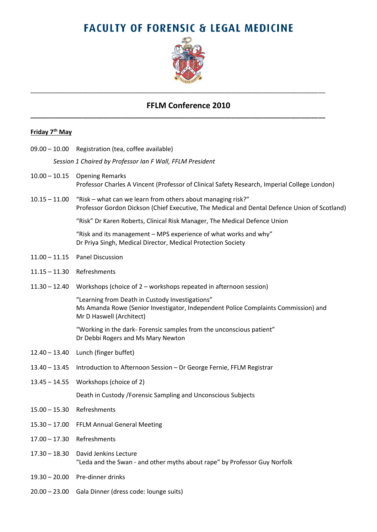# **FACULTY OF FORENSIC & LEGAL MEDICINE**



### **FFLM Conference 2010**

\_\_\_\_\_\_\_\_\_\_\_\_\_\_\_\_\_\_\_\_\_\_\_\_\_\_\_\_\_\_\_\_\_\_\_\_\_\_\_\_\_\_\_\_\_\_\_\_\_\_\_\_\_\_\_\_\_\_\_\_\_\_\_\_\_\_\_\_\_\_\_\_\_\_\_\_\_\_\_\_\_\_\_\_\_

**\_\_\_\_\_\_\_\_\_\_\_\_\_\_\_\_\_\_\_\_\_\_\_\_\_\_\_\_\_\_\_\_\_\_\_\_\_\_\_\_\_\_\_\_\_\_\_\_\_\_\_\_\_\_\_\_\_\_\_\_\_\_\_\_\_\_\_\_\_\_\_\_\_\_\_\_\_\_\_\_\_\_\_\_\_**

### **Friday 7 th May**

09.00 – 10.00 Registration (tea, coffee available)

*Session 1 Chaired by Professor Ian F Wall, FFLM President*

- 10.00 10.15 Opening Remarks Professor Charles A Vincent (Professor of Clinical Safety Research, Imperial College London)
- 10.15 11.00 "Risk what can we learn from others about managing risk?" Professor Gordon Dickson (Chief Executive, The Medical and Dental Defence Union of Scotland)

"Risk" Dr Karen Roberts, Clinical Risk Manager, The Medical Defence Union

"Risk and its management – MPS experience of what works and why" Dr Priya Singh, Medical Director, Medical Protection Society

- 11.00 11.15 Panel Discussion
- 11.15 11.30 Refreshments
- 11.30 12.40 Workshops (choice of 2 workshops repeated in afternoon session)

"Learning from Death in Custody Investigations" Ms Amanda Rowe (Senior Investigator, Independent Police Complaints Commission) and Mr D Haswell (Architect)

"Working in the dark- Forensic samples from the unconscious patient" Dr Debbi Rogers and Ms Mary Newton

- 12.40 13.40 Lunch (finger buffet)
- 13.40 13.45 Introduction to Afternoon Session Dr George Fernie, FFLM Registrar
- 13.45 14.55 Workshops (choice of 2)

Death in Custody /Forensic Sampling and Unconscious Subjects

- 15.00 15.30 Refreshments
- 15.30 17.00 FFLM Annual General Meeting
- 17.00 17.30 Refreshments
- 17.30 18.30 David Jenkins Lecture "Leda and the Swan - and other myths about rape" by Professor Guy Norfolk
- 19.30 20.00 Pre-dinner drinks
- 20.00 23.00 Gala Dinner (dress code: lounge suits)